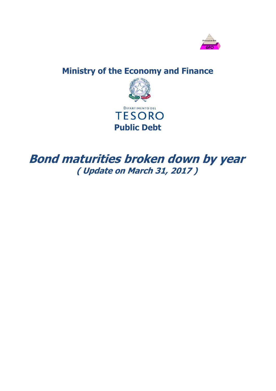

## **Ministry of the Economy and Finance**



## **Bond maturities broken down by year ( Update on March 31, 2017 )**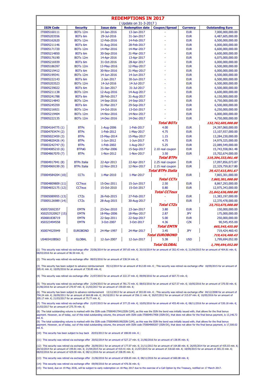| <b>REDEMPTIONS IN 2017</b>   |                    |                           |                           |                           |                          |                                  |  |  |
|------------------------------|--------------------|---------------------------|---------------------------|---------------------------|--------------------------|----------------------------------|--|--|
| (Update on 31-3-2017)        |                    |                           |                           |                           |                          |                                  |  |  |
| <b>ISIN Code</b>             | <b>Security</b>    | <b>Issue date</b>         | <b>Redemption date</b>    | <b>Coupon/Spread</b>      | <b>Currency</b>          | <b>Outstanding Euro</b>          |  |  |
| IT0005160111                 | BOTs 12m           | 14-Jan-2016               | 13-Jan-2017               |                           | <b>EUR</b>               | 7,000,000,000.00                 |  |  |
| IT0005203556                 | BOTs 6m            | 29-Jul-2016               | 31-Jan-2017               |                           | <b>EUR</b>               | 6,487,605,000.00                 |  |  |
| IT0005162620                 | BOTs 12m           | 12-Feb-2016               | 14-Feb-2017               |                           | <b>EUR</b>               | 6,500,000,000.00                 |  |  |
| IT0005211146                 | BOTs 6m            | 31-Aug-2016               | 28-Feb-2017               |                           | <b>EUR</b>               | 6,000,000,000.00                 |  |  |
| IT0005171720                 | BOTs 12m           | 14-Mar-2016               | 14-Mar-2017               |                           | <b>EUR</b>               | 6,600,000,000.00                 |  |  |
| IT0005214850                 | BOTs 6m            | 30-Sep-2016               | 31-Mar-2017               |                           | <b>EUR</b>               | 6,600,000,000.00                 |  |  |
| IT0005176190                 | BOTs 12m           | 14-Apr-2016               | 13-Apr-2017               |                           | <b>EUR</b>               | 6,075,000,000.00                 |  |  |
| IT0005216939                 | BOTs 6m            | 31-Oct-2016               | 28-Apr-2017               |                           | <b>EUR</b>               | 6,000,000,000.00                 |  |  |
| IT0005186397                 | BOTs 12m           | 13-May-2016               | 12-May-2017               |                           | <b>EUR</b>               | 6,500,000,000.00                 |  |  |
| IT0005219412                 | BOTs 6m            | 30-Nov-2016               | 31-May-2017               |                           | <b>EUR</b>               | 6,000,000,000.00                 |  |  |
| IT0005199341                 | BOTs 12m           | 14-Jun-2016               | 14-Jun-2017               |                           | <b>EUR</b>               | 6,500,000,000.00                 |  |  |
| IT0005222143                 | BOTs 6m            | 2-Jan-2017                | 30-Jun-2017               |                           | <b>EUR</b>               | 6,500,000,000.00                 |  |  |
| IT0005203523                 | BOTs 12m           | 14-Jul-2016               | 14-Jul-2017               |                           | <b>EUR</b>               | 6,500,000,000.00                 |  |  |
| IT0005239022                 | BOTs 6m            | 31-Jan-2017               | 31-Jul-2017               |                           | <b>EUR</b>               | 6,500,000,000.00                 |  |  |
| IT0005211138                 | BOTs 12m           | 12-Aug-2016               | 14-Aug-2017               |                           | <b>EUR</b>               | 6,600,000,000.00                 |  |  |
| IT0005241788                 | BOTs 6m            | 28-Feb-2017               | 31-Aug-2017               |                           | <b>EUR</b>               | 6,150,000,000.00                 |  |  |
| IT0005214843                 | BOTs 12m           | 14-Sep-2016               | 14-Sep-2017               |                           | <b>EUR</b>               | 6,750,000,000.00                 |  |  |
| IT0005245359                 | BOTs 6m            | 31-Mar-2017               | 29-Sep-2017               |                           | <b>EUR</b>               | 6,500,000,000.00                 |  |  |
| IT0005216921                 | BOTs 12m           | 14-Oct-2016               | 13-Oct-2017               |                           | <b>EUR</b>               | 6,250,000,000.00                 |  |  |
| IT0005219404                 | BOTs 12m           | 14-Nov-2016               | 14-Nov-2017               |                           | <b>EUR</b>               | 6,000,000,000.00                 |  |  |
| IT0005222135                 | BOTs 12m           | 14-Dec-2016               | 14-Dec-2017               |                           | <b>EUR</b>               | 4,750,000,000.00                 |  |  |
|                              |                    |                           |                           | <b>Total BOTs</b>         |                          | 132,762,605,000.00               |  |  |
| IT0004164775 (1)             | <b>BTPs</b>        | 1-Aug-2006                | 1-Feb-2017                | 4.00                      | <b>EUR</b>               | 24,397,060,000.00                |  |  |
| IT0004793474 (2)             | <b>BTPs</b>        | 1-Feb-2012                | 1-May-2017                | 4.75                      | <b>EUR</b>               | 13,107,937,000.00                |  |  |
| IT0005023459 (3)             | <b>BTPs</b>        | 15-May-2014               | 15-May-2017               | 1.15                      | <b>EUR</b>               | 13,284,230,000.00                |  |  |
| IT0004820426 (4)             | <b>BTPs</b>        | 1-Jun-2012                | 1-Jun-2017                | 4.75                      | <b>EUR</b>               | 14,979,325,000.00                |  |  |
| IT0003242747 (5)             | <b>BTPs</b>        | 1-Feb-2002                | 1-Aug-2017                | 5.25                      | <b>EUR</b>               | 22,089,549,000.00                |  |  |
| IT0004085210 (6)             | BTPs€i             | 15-Mar-2006               | 15-Sep-2017               | 2.10 real coupon          | <b>EUR</b>               | 15,743,558,061.48                |  |  |
| IT0004867070 (7)             | <b>BTPs</b>        | 1-Nov-2012                | 1-Nov-2017                | 3.50                      | <b>EUR</b>               | 15,702,674,000.00                |  |  |
|                              |                    |                           |                           | Total BTPs                |                          | 119,304,333,061.48               |  |  |
| IT0004917941 (8)             | <b>BTPs Italia</b> | 22-Apr-2013               | 22-Apr-2017               | 2.25 real coupon          | <b>EUR</b>               | 17,097,856,073.87                |  |  |
| IT0004969199 (9)             | <b>BTPs Italia</b> | 12-Nov-2013               | 12-Nov-2017               | 2.15 real coupon          | <b>EUR</b>               | 22,329,759,817.80                |  |  |
|                              |                    |                           |                           | <b>Total BTPs Italia</b>  |                          | 39,427,615,891.67                |  |  |
| IT0004584204 (10)            | <b>CCTs</b>        | 1-Mar-2010                | 1-Mar-2017                |                           | <b>EUR</b>               | 7,865,301,000.00                 |  |  |
|                              |                    |                           |                           | <b>Total CCTs</b>         |                          | 7,865,301,000.00                 |  |  |
| IT0004809809 (11)            | <b>CCTeus</b>      | 15-Dec-2011               | 15-Jun-2017               | 2.50                      | <b>EUR</b>               | 8,867,293,000.00                 |  |  |
| IT0004652175 (12)            | <b>CCTeus</b>      | 15-Oct-2010               | 15-Oct-2017               | 0.80                      | <b>EUR</b>               | 12,975,343,000.00                |  |  |
|                              |                    |                           |                           | <b>Total CCTeus</b>       |                          | 21,842,636,000.00                |  |  |
| IT0005089955 (13)            | <b>CTZs</b>        | 26-Feb-2015               | 27-Feb-2017               |                           | <b>EUR</b>               | 11,383,197,000.00                |  |  |
| IT0005126989 (14)            | <b>CTZs</b>        | 28-Aug-2015               | 30-Aug-2017               |                           | <b>EUR</b>               | 12,370,478,000.00                |  |  |
|                              |                    |                           |                           | <b>Total CTZs</b>         |                          | 23,753,675,000.00                |  |  |
| XS0572692357                 | <b>EMTN</b>        | 23-Dec-2010               | 23-Jan-2017               | 3.80                      | <b>EUR</b>               | 150,000,000.00                   |  |  |
| XS0253520927 (15)            | <b>EMTN</b>        | 18-May-2006               | 18-May-2017               | 2.87                      | <b>JPY</b>               | 175,000,000.00                   |  |  |
| XS0681838719<br>XS0323494558 | <b>EMTN</b>        | 22-Sep-2011<br>3-Oct-2007 | 22-Sep-2017<br>3-Oct-2017 | 5.00                      | <b>EUR</b><br><b>CZK</b> | 250,000,000.00                   |  |  |
|                              | <b>EMTN</b>        |                           |                           | 4.36                      |                          | 90,545,455.00                    |  |  |
| XS0074525949                 | <b>EUROBOND</b>    | 24-Mar-1997               | 24-Mar-2017               | <b>Total EMTN</b><br>3.45 | <b>JPY</b>               | 665,545,455.00                   |  |  |
|                              |                    |                           |                           | Total EUROBOND            |                          | 719,424,460.43<br>719,424,460.43 |  |  |
| US465410BS63                 | <b>GLOBAL</b>      | 12-Jun-2007               | 12-Jun-2017               | 5.38                      | <b>USD</b>               | 1,799,694,052.00                 |  |  |
|                              |                    |                           |                           | <b>Total GLOBAL</b>       |                          | 1,799,694,052.00                 |  |  |
|                              |                    |                           |                           |                           |                          |                                  |  |  |

(1) This security was retired via exchange offer 25/06/2014 for an amount of 397.65 mln. €; 20/10/2014 for an amount of 302.43 mln. €; 21/04/2015 for an amount of 404.81 mln. €;  $0.8/03/2016$  for an amount of 96.50 mln.  $\epsilon$ ;

(2) This security was retired via exchange offer  $08/03/2016$  for an amount of 538.54 mln.  $\epsilon$ ;

(3) This security has been subject to advance reimbursement 05/12/2014 for an amount of 812.00 mln. €; This security was retired via exchange offer 18/09/2015 for an amount of 305.41 mln. €; 10/05/2016 for an amount of 730.85 mln. €;

(4) This security was retired via exchange offer 21/07/2015 for an amount of 222.37 mln.  $\epsilon$ ; 09/09/2016 for an amount of 607.73 mln.  $\epsilon$ ;

(5) This security was retired via exchange offer 21/04/2015 for an amount of 781.73 mln. €; 08/03/2016 for an amount of 627.57 mln. €; 10/05/2016 for an amount of 370.50 mln. €; 21/06/2016 for an amount of 270.97 mln. €; 21/03/2017 for an amount of 159.69 mln. €;

(6) This security has been subject to advance reimbursement 13/12/2013 for an amount of 303.00 mln. € ; This security was retired via exchange offer 04/12/2008 for an amount of 794.24 mln. €; 26/09/2011 for an amount of 664.08 mln. €; 24/10/2011 for an amount of 356.11 mln. €; 30/07/2012 for an amount of 315.07 mln. €; 10/05/2016 for an amount of<br>205.17 mln. €; 21/03/2017 for an amount of 75.77

(7) This security was retired via exchange offer 21/07/2015 for an amount of 377.25 mln. €; 10/05/2016 for an amount of 455.40 mln. €; 08/11/2016 for an amount of 530.18 mln. €;  $21/03/2017$  for an amount of 275.70 mln.  $\varepsilon$ ;

(8) The total outstanding volume is marked with the ISIN code IT0004917941(ISIN CUM), as this was the ISIN the bond was initially issued with, that allows for the final bonus<br>payment. However, as of today, out of this tot

(9) The total outstanding volume is marked with the ISIN code IT0004969199(ISIN CUM), as this was the ISIN the bond was initially issued with, that allows for the final bonus<br>payment. However, as of today, out of this tot

(10) This security has been subject to buy back  $20/03/2013$  for an amount of 188.00 mln.  $\epsilon$ :

(11) This security was retired via exchange offer 20/02/2014 for an amount of 527.27 mln. €; 21/06/2016 for an amount of 138.95 mln. €;

(12) This security was retired via exchange offer  $26/09/2011$  for an amount of 177.07 mln.  $\epsilon$ ; 21/11/2013 for an amount of 164.80 mln.  $\epsilon$ ; 26/05/2014 for an amount of 435.03 mln.  $\epsilon$ ; 20/10/2014 for an amount of 199.81 mln. €; 21/04/2015 for an amount of 419.41 mln. €; 21/07/2015 for an amount of 318.60 mln. €; 18/09/2015 for an amount of 365.33 mln. €;<br>08/03/2016 for an amount of 429.00 mln. €; 08/11/

(13) This security was retired via exchange offer 21/06/2016 for an amount of 658.65 mln. €; 08/11/2016 for an amount of 660.08 mln. €;

(14) This security was retired via exchange offer  $09/09/2016$  for an amount of 476.56 mln.  $\epsilon$ ;

(15) The bond, due on 19 May 2036, will be subject to early redemption on 18 May 2017 due to the exercise of a Call Option by the Treasury, notified on 17 March 2017.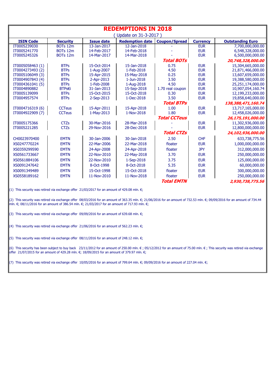| <b>REDEMPTIONS IN 2018</b> |                      |                   |                        |                      |                 |                         |  |  |
|----------------------------|----------------------|-------------------|------------------------|----------------------|-----------------|-------------------------|--|--|
|                            | Update on 31-3-2017) |                   |                        |                      |                 |                         |  |  |
| <b>ISIN Code</b>           | <b>Security</b>      | <b>Issue date</b> | <b>Redemption date</b> | <b>Coupon/Spread</b> | <b>Currency</b> | <b>Outstanding Euro</b> |  |  |
| IT0005239030               | BOTs 12m             | 13-Jan-2017       | 12-Jan-2018            |                      | <b>EUR</b>      | 7,700,000,000.00        |  |  |
| IT0005241770               | BOTs 12m             | 14-Feb-2017       | 14-Feb-2018            |                      | <b>EUR</b>      | 6,548,328,000.00        |  |  |
| IT0005245326               | BOTs 12m             | 14-Mar-2017       | 14-Mar-2018            |                      | <b>EUR</b>      | 6,500,000,000.00        |  |  |
|                            |                      |                   |                        | <b>Total BOTs</b>    |                 | 20,748,328,000.00       |  |  |
| IT0005058463 (1)           | <b>BTPs</b>          | 15-Oct-2014       | 15-Jan-2018            | 0.75                 | <b>EUR</b>      | 15,304,665,000.00       |  |  |
| IT0004273493 (2)           | <b>BTPs</b>          | 1-Aug-2007        | 1-Feb-2018             | 4.50                 | <b>EUR</b>      | 21,871,466,000.00       |  |  |
| IT0005106049 (3)           | <b>BTPs</b>          | 15-Apr-2015       | 15-May-2018            | 0.25                 | <b>EUR</b>      | 13,607,659,000.00       |  |  |
| IT0004907843 (4)           | <b>BTPs</b>          | 2-Apr-2013        | 1-Jun-2018             | 3.50                 | <b>EUR</b>      | 19,388,580,000.00       |  |  |
| IT0004361041 (5)           | <b>BTPs</b>          | 1-Feb-2008        | 1-Aug-2018             | 4.50                 | <b>EUR</b>      | 25,251,174,000.00       |  |  |
| IT0004890882               | BTPs€i               | 31-Jan-2013       | 15-Sep-2018            | 1.70 real coupon     | <b>EUR</b>      | 10,907,054,160.74       |  |  |
| IT0005139099               | <b>BTPs</b>          | 15-Oct-2015       | 15-Oct-2018            | 0.30                 | <b>EUR</b>      | 12,199,233,000.00       |  |  |
| IT0004957574               | <b>BTPs</b>          | 2-Sep-2013        | 1-Dec-2018             | 3.50                 | <b>EUR</b>      | 19,858,640,000.00       |  |  |
|                            |                      |                   |                        | <b>Total BTPs</b>    |                 | 138,388,471,160.74      |  |  |
| IT0004716319 (6)           | <b>CCTeus</b>        | 15-Apr-2011       | 15-Apr-2018            | 1.00                 | <b>EUR</b>      | 13,717,165,000.00       |  |  |
| IT0004922909 (7)           | <b>CCTeus</b>        | 1-May-2013        | 1-Nov-2018             | 1.80                 | <b>EUR</b>      | 12,458,026,000.00       |  |  |
|                            |                      |                   |                        | <b>Total CCTeus</b>  |                 | 26,175,191,000.00       |  |  |
| IT0005175366               | <b>CTZs</b>          | 30-Mar-2016       | 28-Mar-2018            |                      | <b>EUR</b>      | 11,302,936,000.00       |  |  |
| IT0005221285               | <b>CTZs</b>          | 29-Nov-2016       | 28-Dec-2018            |                      | <b>EUR</b>      | 12,800,000,000.00       |  |  |
|                            |                      |                   |                        | <b>Total CTZs</b>    |                 | 24,102,936,000.00       |  |  |
| CH0023970400               | <b>EMTN</b>          | 30-Jan-2006       | 30-Jan-2018            | 2.50                 | <b>CHF</b>      | 633,738,775.56          |  |  |
| XS0247770224               | <b>EMTN</b>          | 22-Mar-2006       | 22-Mar-2018            | floater              | <b>EUR</b>      | 1,000,000,000.00        |  |  |
| XS0359299590               | <b>EMTN</b>          | 24-Apr-2008       | 24-Apr-2018            | floater              | <b>JPY</b>      | 312,000,000.00          |  |  |
| XS0561733667               | <b>EMTN</b>          | 22-Nov-2010       | 22-May-2018            | 3.70                 | <b>EUR</b>      | 250,000,000.00          |  |  |
| XS0561884106               | <b>EMTN</b>          | 22-Nov-2010       | 1-Sep-2018             | 3.75                 | <b>EUR</b>      | 125,000,000.00          |  |  |
| XS0091247642               | <b>EMTN</b>          | 8-Oct-1998        | 8-Oct-2018             | 5.35                 | <b>EUR</b>      | 60,000,000.00           |  |  |
| XS0091349489               | <b>EMTN</b>          | 15-Oct-1998       | 15-Oct-2018            | floater              | <b>EUR</b>      | 300,000,000.00          |  |  |
| XS0558189162               | <b>EMTN</b>          | 11-Nov-2010       | 11-Nov-2018            | floater              | <b>EUR</b>      | 250,000,000.00          |  |  |
|                            |                      |                   |                        | <b>Total EMTN</b>    |                 | 2,930,738,775.56        |  |  |

(1) This security was retired via exchange offer 21/03/2017 for an amount of 429.08 mln.  $\epsilon$ ;

(2) This security was retired via exchange offer 08/03/2016 for an amount of 363.35 mln. €; 21/06/2016 for an amount of 732.53 mln. €; 09/09/2016 for an amount of 734.44 mln.  $\epsilon$ ; 08/11/2016 for an amount of 386.54 mln.  $\epsilon$ ; 21/03/2017 for an amount of 717.93 mln.  $\epsilon$ ;

(3) This security was retired via exchange offer 09/09/2016 for an amount of 639.68 mln.  $\epsilon$ ;

(4) This security was retired via exchange offer 21/06/2016 for an amount of 562.23 mln.  $\epsilon$ ;

(5) This security was retired via exchange offer  $08/11/2016$  for an amount of 248.12 mln.  $\epsilon$ ;

(6) This security has been subject to buy back 23/11/2012 for an amount of 250.00 mln. €; 05/12/2012 for an amount of 75.00 mln. €; This security was retired via exchange offer 21/07/2015 for an amount of 429.28 mln.  $\epsilon$ ; 18/09/2015 for an amount of 379.97 mln.  $\epsilon$ ;

(7) This security was retired via exchange offer 10/05/2016 for an amount of 799.64 mln.  $\epsilon$ ; 09/09/2016 for an amount of 227.04 mln.  $\epsilon$ ;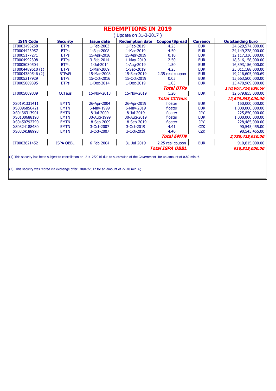| <b>REDEMPTIONS IN 2019</b> |                  |                   |                        |                        |                 |                         |  |  |
|----------------------------|------------------|-------------------|------------------------|------------------------|-----------------|-------------------------|--|--|
| Update on 31-3-2017)       |                  |                   |                        |                        |                 |                         |  |  |
| <b>ISIN Code</b>           | <b>Security</b>  | <b>Issue date</b> | <b>Redemption date</b> | <b>Coupon/Spread</b>   | <b>Currency</b> | <b>Outstanding Euro</b> |  |  |
| IT0003493258               | <b>BTPs</b>      | 1-Feb-2003        | 1-Feb-2019             | 4.25                   | <b>EUR</b>      | 24,629,574,000.00       |  |  |
| IT0004423957               | <b>BTPs</b>      | 1-Sep-2008        | 1-Mar-2019             | 4.50                   | <b>EUR</b>      | 24,149,228,000.00       |  |  |
| IT0005177271               | <b>BTPs</b>      | 15-Apr-2016       | 15-Apr-2019            | 0.10                   | <b>EUR</b>      | 12,117,336,000.00       |  |  |
| IT0004992308               | <b>BTPs</b>      | 3-Feb-2014        | 1-May-2019             | 2.50                   | <b>EUR</b>      | 18,316,158,000.00       |  |  |
| IT0005030504               | <b>BTPs</b>      | 1-Jul-2014        | 1-Aug-2019             | 1.50                   | <b>EUR</b>      | 16,393,156,000.00       |  |  |
| IT0004489610 (1)           | <b>BTPs</b>      | 1-Mar-2009        | 1-Sep-2019             | 4.25                   | <b>EUR</b>      | 25,011,188,000.00       |  |  |
| IT0004380546 (2)           | BTPs€i           | 15-Mar-2008       | 15-Sep-2019            | 2.35 real coupon       | <b>EUR</b>      | 19,216,605,090.69       |  |  |
| IT0005217929               | <b>BTPs</b>      | 15-Oct-2016       | 15-Oct-2019            | 0.05                   | <b>EUR</b>      | 15,663,500,000.00       |  |  |
| IT0005069395               | <b>BTPs</b>      | 1-Dec-2014        | 1-Dec-2019             | 1.05                   | <b>EUR</b>      | 15,470,969,000.00       |  |  |
|                            |                  |                   |                        | <b>Total BTPs</b>      |                 | 170,967,714,090.69      |  |  |
| IT0005009839               | <b>CCTeus</b>    | 15-Nov-2013       | 15-Nov-2019            | 1.20                   | <b>EUR</b>      | 12,679,855,000.00       |  |  |
|                            |                  |                   |                        | <b>Total CCTeus</b>    |                 | 12,679,855,000.00       |  |  |
| XS0191331411               | <b>EMTN</b>      | 26-Apr-2004       | 26-Apr-2019            | floater                | <b>FUR</b>      | 150,000,000.00          |  |  |
| XS0096856421               | <b>EMTN</b>      | 6-May-1999        | 6-May-2019             | floater                | <b>EUR</b>      | 1,000,000,000.00        |  |  |
| XS0436313901               | <b>EMTN</b>      | 8-Jul-2009        | 8-Jul-2019             | floater                | <b>JPY</b>      | 225,850,000.00          |  |  |
| XS0100688190               | <b>EMTN</b>      | 30-Aug-1999       | 30-Aug-2019            | floater                | <b>EUR</b>      | 1,000,000,000.00        |  |  |
| XS0450792790               | <b>EMTN</b>      | 18-Sep-2009       | 18-Sep-2019            | floater                | <b>JPY</b>      | 228,485,000.00          |  |  |
| XS0324188480               | <b>EMTN</b>      | 3-Oct-2007        | 3-Oct-2019             | 4.41                   | <b>CZK</b>      | 90,545,455.00           |  |  |
| XS0324188993               | <b>EMTN</b>      | 3-Oct-2007        | 3-Oct-2019             | 4.40                   | <b>CZK</b>      | 90,545,455.00           |  |  |
|                            |                  |                   |                        | <b>Total EMTN</b>      |                 | 2,785,425,910.00        |  |  |
| IT0003621452               | <b>ISPA OBBL</b> | 6-Feb-2004        | 31-Jul-2019            | 2.25 real coupon       | <b>EUR</b>      | 910,815,000.00          |  |  |
|                            |                  |                   |                        | <b>Total ISPA OBBL</b> |                 | 910,815,000.00          |  |  |
|                            |                  |                   |                        |                        |                 |                         |  |  |

(1) This security has been subject to cancellation on 21/12/2016 due to succession of the Government for an amount of 0.89 mln.  $\in$ 

(2) This security was retired via exchange offer 30/07/2012 for an amount of 77.40 mln.  $\epsilon$ ;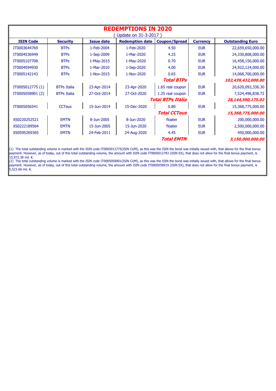|                  | <b>REDEMPTIONS IN 2020</b> |                   |                        |                          |                 |                         |  |  |
|------------------|----------------------------|-------------------|------------------------|--------------------------|-----------------|-------------------------|--|--|
|                  | Update on 31-3-2017)       |                   |                        |                          |                 |                         |  |  |
| <b>ISIN Code</b> | <b>Security</b>            | <b>Issue date</b> | <b>Redemption date</b> | <b>Coupon/Spread</b>     | <b>Currency</b> | <b>Outstanding Euro</b> |  |  |
| IT0003644769     | <b>BTPs</b>                | 1-Feb-2004        | 1-Feb-2020             | 4.50                     | <b>EUR</b>      | 22,659,650,000.00       |  |  |
| IT0004536949     | <b>BTPs</b>                | 1-Sep-2009        | 1-Mar-2020             | 4.25                     | <b>EUR</b>      | 24,330,808,000.00       |  |  |
| IT0005107708     | <b>BTPs</b>                | 1-May-2015        | 1-May-2020             | 0.70                     | <b>EUR</b>      | 16,458,150,000.00       |  |  |
| IT0004594930     | <b>BTPs</b>                | 1-Mar-2010        | 1-Sep-2020             | 4.00                     | <b>EUR</b>      | 24,922,124,000.00       |  |  |
| IT0005142143     | <b>BTPs</b>                | 1-Nov-2015        | 1-Nov-2020             | 0.65                     | <b>EUR</b>      | 14,068,700,000.00       |  |  |
|                  |                            |                   |                        | <b>Total BTPs</b>        |                 | 102,439,432,000.00      |  |  |
| IT0005012775 (1) | <b>BTPs Italia</b>         | 23-Apr-2014       | 23-Apr-2020            | 1.65 real coupon         | <b>EUR</b>      | 20,620,093,336.30       |  |  |
| IT0005058901 (2) | <b>BTPs Italia</b>         | 27-Oct-2014       | 27-Oct-2020            | 1.25 real coupon         | <b>EUR</b>      | 7,524,496,838.72        |  |  |
|                  |                            |                   |                        | <b>Total BTPs Italia</b> |                 | 28,144,590,175.02       |  |  |
| IT0005056541     | <b>CCTeus</b>              | 15-Jun-2014       | 15-Dec-2020            | 0.80                     | <b>EUR</b>      | 15,368,775,000.00       |  |  |
|                  |                            |                   |                        | <b>Total CCTeus</b>      |                 | 15,368,775,000.00       |  |  |
| XS0220252521     | <b>EMTN</b>                | 8-Jun-2005        | 8-Jun-2020             | floater                  | <b>EUR</b>      | 200,000,000.00          |  |  |
| XS0222189564     | <b>EMTN</b>                | 15-Jun-2005       | 15-Jun-2020            | floater                  | <b>EUR</b>      | 2,500,000,000.00        |  |  |
| XS0595269365     | <b>EMTN</b>                | 24-Feb-2011       | 24-Aug-2020            | 4.45                     | <b>EUR</b>      | 450,000,000.00          |  |  |
|                  |                            |                   |                        | <b>Total EMTN</b>        |                 | 3,150,000,000.00        |  |  |

 $(1)$  The total outstanding volume is marked with the ISIN code IT0005012775(ISIN CUM), as this was the ISIN the bond was initially issued with, that allows for the final bonus payment. However, as of today, out of this total outstanding volume, the amount with ISIN code IT0005012783 (ISIN EX), that does not allow for the final bonus payment, is 15,972.38 mil. €.

(2) The total outstanding volume is marked with the ISIN code IT0005058901(ISIN CUM), as this was the ISIN the bond was initially issued with, that allows for the final bonus payment. However, as of today, out of this total outstanding volume, the amount with ISIN code IT0005058919 (ISIN EX), that does not allow for the final bonus payment, is 5,523.66 mil. €.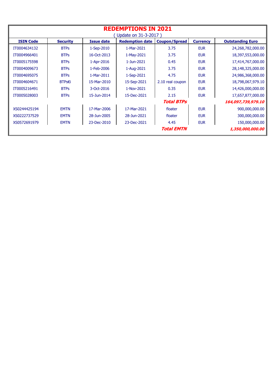| <b>REDEMPTIONS IN 2021</b> |                     |                   |                        |                      |                 |                         |  |  |
|----------------------------|---------------------|-------------------|------------------------|----------------------|-----------------|-------------------------|--|--|
|                            | Update on 31-3-2017 |                   |                        |                      |                 |                         |  |  |
| <b>ISIN Code</b>           | <b>Security</b>     | <b>Issue date</b> | <b>Redemption date</b> | <b>Coupon/Spread</b> | <b>Currency</b> | <b>Outstanding Euro</b> |  |  |
| IT0004634132               | <b>BTPs</b>         | 1-Sep-2010        | 1-Mar-2021             | 3.75                 | <b>EUR</b>      | 24,268,782,000.00       |  |  |
| IT0004966401               | <b>BTPs</b>         | 16-Oct-2013       | 1-May-2021             | 3.75                 | <b>EUR</b>      | 18,397,553,000.00       |  |  |
| IT0005175598               | <b>BTPs</b>         | 1-Apr-2016        | 1-Jun-2021             | 0.45                 | <b>EUR</b>      | 17,414,767,000.00       |  |  |
| IT0004009673               | <b>BTPs</b>         | 1-Feb-2006        | 1-Aug-2021             | 3.75                 | <b>EUR</b>      | 28,148,325,000.00       |  |  |
| IT0004695075               | <b>BTPs</b>         | 1-Mar-2011        | $1-Sep-2021$           | 4.75                 | <b>EUR</b>      | 24,986,368,000.00       |  |  |
| IT0004604671               | BTPs€i              | 15-Mar-2010       | 15-Sep-2021            | 2.10 real coupon     | <b>EUR</b>      | 18,798,067,979.10       |  |  |
| IT0005216491               | <b>BTPs</b>         | 3-Oct-2016        | 1-Nov-2021             | 0.35                 | <b>EUR</b>      | 14,426,000,000.00       |  |  |
| IT0005028003               | <b>BTPs</b>         | 15-Jun-2014       | 15-Dec-2021            | 2.15                 | <b>EUR</b>      | 17,657,877,000.00       |  |  |
|                            |                     |                   |                        | <b>Total BTPs</b>    |                 | 164,097,739,979.10      |  |  |
| XS0244425194               | <b>EMTN</b>         | 17-Mar-2006       | 17-Mar-2021            | floater              | <b>EUR</b>      | 900,000,000.00          |  |  |
| XS0222737529               | <b>EMTN</b>         | 28-Jun-2005       | 28-Jun-2021            | floater              | <b>EUR</b>      | 300,000,000.00          |  |  |
| XS0572691979               | <b>EMTN</b>         | 23-Dec-2010       | 23-Dec-2021            | 4.45                 | <b>EUR</b>      | 150,000,000.00          |  |  |
|                            |                     |                   |                        | <b>Total EMTN</b>    |                 | <i>1,350,000,000.00</i> |  |  |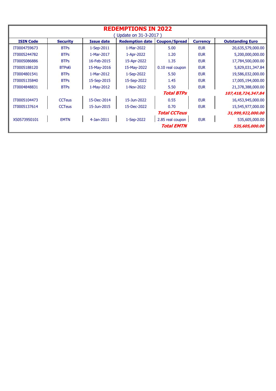| <b>REDEMPTIONS IN 2022</b> |                 |                   |                        |                      |                 |                         |  |  |
|----------------------------|-----------------|-------------------|------------------------|----------------------|-----------------|-------------------------|--|--|
| Update on 31-3-2017        |                 |                   |                        |                      |                 |                         |  |  |
| <b>ISIN Code</b>           | <b>Security</b> | <b>Issue date</b> | <b>Redemption date</b> | <b>Coupon/Spread</b> | <b>Currency</b> | <b>Outstanding Euro</b> |  |  |
| IT0004759673               | <b>BTPs</b>     | 1-Sep-2011        | 1-Mar-2022             | 5.00                 | <b>EUR</b>      | 20,635,579,000.00       |  |  |
| IT0005244782               | <b>BTPs</b>     | 1-Mar-2017        | 1-Apr-2022             | 1.20                 | <b>EUR</b>      | 5,200,000,000.00        |  |  |
| IT0005086886               | <b>BTPs</b>     | 16-Feb-2015       | 15-Apr-2022            | 1.35                 | <b>EUR</b>      | 17,784,500,000.00       |  |  |
| IT0005188120               | BTPs€i          | 15-May-2016       | 15-May-2022            | 0.10 real coupon     | <b>EUR</b>      | 5,829,031,347.84        |  |  |
| IT0004801541               | <b>BTPs</b>     | 1-Mar-2012        | 1-Sep-2022             | 5.50                 | <b>EUR</b>      | 19,586,032,000.00       |  |  |
| IT0005135840               | <b>BTPs</b>     | 15-Sep-2015       | 15-Sep-2022            | 1.45                 | <b>EUR</b>      | 17,005,194,000.00       |  |  |
| IT0004848831               | <b>BTPs</b>     | 1-May-2012        | 1-Nov-2022             | 5.50                 | <b>EUR</b>      | 21,378,388,000.00       |  |  |
|                            |                 |                   |                        | <b>Total BTPs</b>    |                 | 107,418,724,347.84      |  |  |
| IT0005104473               | <b>CCTeus</b>   | 15-Dec-2014       | 15-Jun-2022            | 0.55                 | <b>EUR</b>      | 16,453,945,000.00       |  |  |
| IT0005137614               | <b>CCTeus</b>   | 15-Jun-2015       | 15-Dec-2022            | 0.70                 | <b>EUR</b>      | 15,545,977,000.00       |  |  |
|                            |                 |                   |                        | <b>Total CCTeus</b>  |                 | 31,999,922,000.00       |  |  |
| XS0573950101               | <b>EMTN</b>     | 4-Jan-2011        | 1-Sep-2022             | 2.85 real coupon     | <b>EUR</b>      | 535,605,000.00          |  |  |
|                            |                 |                   |                        | <b>Total EMTN</b>    |                 | <i>535,605,000.00</i>   |  |  |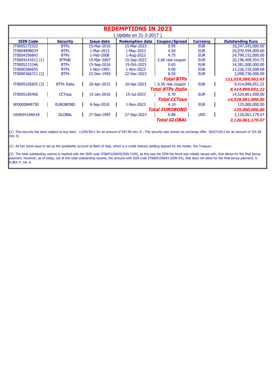|                      |                    |                   | <b>REDEMPTIONS IN 2023</b> |                       |                 |                                 |  |  |  |
|----------------------|--------------------|-------------------|----------------------------|-----------------------|-----------------|---------------------------------|--|--|--|
| Update on 31-3-2017) |                    |                   |                            |                       |                 |                                 |  |  |  |
| <b>ISIN Code</b>     | <b>Security</b>    | <b>Issue date</b> | <b>Redemption date</b>     | <b>Coupon/Spread</b>  | <b>Currency</b> | <b>Outstanding Euro</b>         |  |  |  |
| IT0005172322         | <b>BTPs</b>        | 15-Mar-2016       | 15-Mar-2023                | 0.95                  | <b>EUR</b>      | 16,247,343,000.00               |  |  |  |
| IT0004898034         | <b>BTPs</b>        | 1-Mar-2013        | 1-May-2023                 | 4.50                  | <b>EUR</b>      | 20,070,594,000.00               |  |  |  |
| IT0004356843         | <b>BTPs</b>        | 1-Feb-2008        | 1-Aug-2023                 | 4.75                  | <b>EUR</b>      | 24,799,152,000.00               |  |  |  |
| IT0004243512 (1)     | BTPs€i             | 15-Mar-2007       | 15-Sep-2023                | 2.60 real coupon      | <b>EUR</b>      | 20,196,409,554.75               |  |  |  |
| IT0005215246         | <b>BTPs</b>        | 15-Sep-2016       | 15-Oct-2023                | 0.65                  | <b>EUR</b>      | 14,381,000,000.00               |  |  |  |
| IT0000366655         | <b>BTPs</b>        | 1-Nov-1993        | 1-Nov-2023                 | 9.00                  | <b>EUR</b>      | 12,226,155,008.68               |  |  |  |
| IT0000366721 (2)     | <b>BTPs</b>        | 22-Dec-1993       | 22-Dec-2023                | 8.50                  | <b>EUR</b>      | 3,098,736,000.00                |  |  |  |
|                      |                    |                   |                            | <b>Total BTPs</b>     |                 | 111,019,389,563.43              |  |  |  |
| IT0005105835 (3)     | <b>BTPs Italia</b> | 20-Apr-2015       | 20-Apr-2023                | 0.50 real coupon      | <b>EUR</b>      | 9,414,899,051.22                |  |  |  |
|                      |                    |                   |                            | Total BTPs Italia     |                 | 9,414,899,051.22                |  |  |  |
| IT0005185456         | <b>CCTeus</b>      | 15-Jan-2016       | 15-Jul-2023                | 0.70                  | <b>EUR</b>      | 14,529,861,000.00               |  |  |  |
|                      |                    |                   |                            | <b>Total CCTeus</b>   |                 | <i><b>14,529,861,000.00</b></i> |  |  |  |
| XF0000B49730         | <b>EUROBOND</b>    | 6-Sep-2010        | 1-Nov-2023                 | 4.10                  | <b>EUR</b>      | 125,000,000.00                  |  |  |  |
|                      |                    |                   |                            | <b>Total EUROBOND</b> |                 | <i>125,000,000.00</i>           |  |  |  |
| US465410AH18         | <b>GLOBAL</b>      | 27-Sep-1993       | 27-Sep-2023                | 6.88                  | <b>USD</b>      | 3,126,061,179.07                |  |  |  |
|                      |                    |                   |                            | <b>Total GLOBAL</b>   |                 | 3,126,061,179.07                |  |  |  |

(1) This security has been subject to buy back 12/09/2011 for an amount of 447.00 mln.  $\epsilon$ ; This security was retired via exchange offer 30/07/2012 for an amount of 325.58 mln.  $∈;$ 

(2) Ad hoc bond issue to set up the availability account at Bank of Italy, which is a credit interest yielding deposit for the holder, the Treasury

(3) The total outstanding volume is marked with the ISIN code IT0005105835(ISIN CUM), as this was the ISIN the bond was initially issued with, that allows for the final bonus payment. However, as of today, out of this total outstanding volume, the amount with ISIN code IT0005105843 (ISIN EX), that does not allow for the final bonus payment, is 6,984.71 mil. €.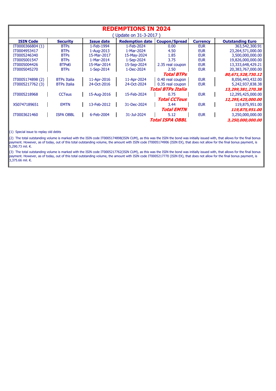| <b>REDEMPTIONS IN 2024</b> |                    |                   |                        |                          |                 |                         |  |  |
|----------------------------|--------------------|-------------------|------------------------|--------------------------|-----------------|-------------------------|--|--|
|                            |                    |                   |                        |                          |                 |                         |  |  |
| Update on 31-3-2017)       |                    |                   |                        |                          |                 |                         |  |  |
| <b>ISIN Code</b>           | <b>Security</b>    | <b>Issue date</b> | <b>Redemption date</b> | <b>Coupon/Spread</b>     | <b>Currency</b> | <b>Outstanding Euro</b> |  |  |
| IT0000366804 (1)           | <b>BTPs</b>        | 1-Feb-1994        | 1-Feb-2024             | 0.00 <sub>1</sub>        | <b>EUR</b>      | 363,542,300.91          |  |  |
| IT0004953417               | <b>BTPs</b>        | 1-Aug-2013        | 1-Mar-2024             | 4.50                     | <b>EUR</b>      | 23,264,571,000.00       |  |  |
| IT0005246340               | <b>BTPs</b>        | 15-Mar-2017       | 15-May-2024            | 1.85                     | <b>EUR</b>      | 3,500,000,000.00        |  |  |
| IT0005001547               | <b>BTPs</b>        | 1-Mar-2014        | 1-Sep-2024             | 3.75                     | <b>EUR</b>      | 19,826,000,000.00       |  |  |
| IT0005004426               | BTPs€i             | 15-Mar-2014       | 15-Sep-2024            | 2.35 real coupon         | <b>EUR</b>      | 13,333,648,429.21       |  |  |
| IT0005045270               | <b>BTPs</b>        | 1-Sep-2014        | 1-Dec-2024             | 2.50                     | <b>EUR</b>      | 20,383,767,000.00       |  |  |
|                            |                    |                   |                        | <b>Total BTPs</b>        |                 | 80,671,528,730.12       |  |  |
| IT0005174898 (2)           | <b>BTPs Italia</b> | 11-Apr-2016       | 11-Apr-2024            | 0.40 real coupon         | <b>EUR</b>      | 8,056,443,432.00        |  |  |
| IT0005217762 (3)           | <b>BTPs Italia</b> | 24-Oct-2016       | 24-Oct-2024            | 0.35 real coupon         | <b>EUR</b>      | 5,242,937,838.38        |  |  |
|                            |                    |                   |                        | <b>Total BTPs Italia</b> |                 | 13,299,381,270.38       |  |  |
| IT0005218968               | <b>CCTeus</b>      | 15-Aug-2016       | 15-Feb-2024            | 0.75                     | <b>EUR</b>      | 12,295,425,000.00       |  |  |
|                            |                    |                   |                        | <b>Total CCTeus</b>      |                 | 12,295,425,000.00       |  |  |
| XS0747189651               | <b>EMTN</b>        | 13-Feb-2012       | 31-Dec-2024            | 3.44                     | <b>EUR</b>      | 119,875,951.00          |  |  |
|                            |                    |                   |                        | <b>Total EMTN</b>        |                 | 119,875,951.00          |  |  |
| IT0003621460               | <b>ISPA OBBL</b>   | 6-Feb-2004        | 31-Jul-2024            | 5.12                     | <b>EUR</b>      | 3,250,000,000.00        |  |  |
|                            |                    |                   |                        | <b>Total ISPA OBBL</b>   |                 | 3,250,000,000.00        |  |  |

(1) Special issue to replay old debts

(2) The total outstanding volume is marked with the ISIN code IT0005174898(ISIN CUM), as this was the ISIN the bond was initially issued with, that allows for the final bonus payment. However, as of today, out of this total outstanding volume, the amount with ISIN code IT0005174906 (ISIN EX), that does not allow for the final bonus payment, is 5,290.73 mil. €.

(3) The total outstanding volume is marked with the ISIN code IT0005217762(ISIN CUM), as this was the ISIN the bond was initially issued with, that allows for the final bonus payment. However, as of today, out of this total outstanding volume, the amount with ISIN code IT0005217770 (ISIN EX), that does not allow for the final bonus payment, is 3,375.66 mil. €.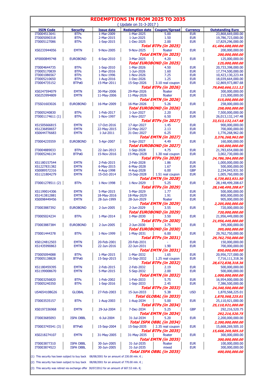| <b>REDEMPTIONS IN FROM 2025 TO 2035</b><br>(Update on 31-3-2017)                                    |                            |                           |                           |                                         |                          |                                        |  |  |
|-----------------------------------------------------------------------------------------------------|----------------------------|---------------------------|---------------------------|-----------------------------------------|--------------------------|----------------------------------------|--|--|
| <b>ISIN Code</b>                                                                                    | <b>Security</b>            | <b>Issue date</b>         | <b>Redemption date</b>    | <b>Coupon/Spread</b>                    | <b>Currency</b>          | <b>Outstanding Euro</b>                |  |  |
| IT0004513641                                                                                        | <b>BTPs</b>                | 1-Mar-2009                | 1-Mar-2025                | 5.00                                    | <b>EUR</b>               | 23,868,669,000.00                      |  |  |
| IT0005090318                                                                                        | <b>BTPs</b>                | 2-Mar-2015                | 1-Jun-2025                | 1.50                                    | <b>EUR</b>               | 19,786,723,000.00                      |  |  |
| IT0005127086                                                                                        | <b>BTPs</b>                | 1-Sep-2015                | 1-Dec-2025                | 2.00                                    | <b>EUR</b>               | 17,829,296,000.00                      |  |  |
|                                                                                                     |                            |                           |                           | Total BTPs (in 2025)                    |                          | 61,484,688,000.00                      |  |  |
| XS0233944056                                                                                        | <b>EMTN</b>                | 9-Nov-2005                | 9-Nov-2025                | floater                                 | <b>EUR</b>               | 200,000,000.00                         |  |  |
|                                                                                                     |                            |                           |                           | Total EMTN (in 2025)                    |                          | 200,000,000.00                         |  |  |
| XF0000B49748                                                                                        | <b>EUROBOND</b>            | 6-Sep-2010                | 3-Mar-2025                | 4.20                                    | <b>EUR</b>               | 125,000,000.00                         |  |  |
|                                                                                                     |                            |                           |                           | <b>Total EUROBOND (in 2025)</b>         |                          | <i><b>125,000,000.00</b></i>           |  |  |
| IT0004644735<br>IT0005170839                                                                        | <b>BTPs</b><br><b>BTPs</b> | 1-Sep-2010<br>1-Mar-2016  | 1-Mar-2026<br>1-Jun-2026  | 4.50<br>1.60                            | <b>EUR</b><br><b>EUR</b> | 20,733,398,000.00<br>17,774,500,000.00 |  |  |
| IT0001086567                                                                                        | <b>BTPs</b>                | 1-Nov-1996                | 1-Nov-2026                | 7.25                                    | <b>EUR</b>               | 10,423,130,223.44                      |  |  |
| IT0005210650                                                                                        | <b>BTPs</b>                | 1-Aug-2016                | 1-Dec-2026                | 1.25                                    | <b>EUR</b>               | 18,039,664,000.00                      |  |  |
| IT0004735152                                                                                        | BTPs€i                     | 15-Mar-2011               | 15-Sep-2026               | 3.10 real coupon                        | <b>EUR</b>               | 12,869,973,887.68                      |  |  |
|                                                                                                     |                            |                           |                           | Total BTPs (in 2026)                    |                          | 79,840,666,111.12                      |  |  |
| XS0247594079                                                                                        | <b>EMTN</b>                | 30-Mar-2006               | 29-Mar-2026               | floater                                 | <b>EUR</b>               | 300,000,000.00                         |  |  |
| XS0253994809                                                                                        | <b>EMTN</b>                | 11-May-2006               | 11-May-2026               | floater                                 | <b>EUR</b>               | 215,000,000.00                         |  |  |
|                                                                                                     |                            |                           |                           | Total EMTN (in 2026)                    |                          | 515,000,000.00                         |  |  |
| <b>ITSSD1603026</b>                                                                                 | <b>EUROBOND</b>            | 16-Mar-2009               | 16-Mar-2026               | 5.26                                    | <b>EUR</b>               | 258,000,000.00                         |  |  |
|                                                                                                     |                            |                           |                           | <b>Total EUROBOND (in 2026)</b>         |                          | 258,000,000.00                         |  |  |
| IT0005240830                                                                                        | <b>BTPs</b>                | 1-Feb-2017                | 1-Jun-2027                | 2.20                                    | <b>EUR</b>               | 7,500,000,000.00                       |  |  |
| IT0001174611 (1)                                                                                    | <b>BTPs</b>                | 1-Nov-1997                | 1-Nov-2027                | 6.50                                    | <b>EUR</b>               | 26,013,132,147.48                      |  |  |
| XS1505666815                                                                                        | <b>EMTN</b>                | 17-Oct-2016               | 17-Apr-2027               | Total BTPs (in 2027)<br>1.45            | <b>EUR</b>               | 33,513,132,147.48<br>900,000,000.00    |  |  |
| XS1236858657                                                                                        | <b>EMTN</b>                | 22-May-2015               | 22-May-2027               | 2.13                                    | <b>EUR</b>               | 700,000,000,00                         |  |  |
| XS0644776683                                                                                        | <b>EMTN</b>                | 1-Jul-2011                | 31-Dec-2027               | 6.25                                    | <b>EUR</b>               | 1,776,268,962.00                       |  |  |
|                                                                                                     |                            |                           |                           | Total EMTN (in 2027)                    |                          | 3,376,268,962.00                       |  |  |
| IT0004235559                                                                                        | <b>EUROBOND</b>            | 5-Apr-2007                | 5-Apr-2027                | 4.49                                    | <b>EUR</b>               | 160,000,000.00                         |  |  |
|                                                                                                     |                            |                           |                           | <b>Total EUROBOND (in 2027)</b>         |                          | 160,000,000.00                         |  |  |
| IT0004889033                                                                                        | <b>BTPs</b>                | 22-Jan-2013               | 1-Sep-2028                | 4.75                                    | <b>EUR</b>               | 21,783,654,000.00                      |  |  |
| IT0005246134                                                                                        | BTPs€i                     | 15-Nov-2016               | 15-May-2028               | 1.30 real coupon                        | <b>EUR</b>               | 3,002,730,000.00                       |  |  |
|                                                                                                     |                            |                           |                           | Total BTPs (in 2028)                    |                          | 24,786,384,000.00                      |  |  |
| XS1180157544                                                                                        | <b>EMTN</b>                | 2-Feb-2015                | 2-Feb-2028                | 1.86                                    | <b>EUR</b>               | 1,000,000,000.00                       |  |  |
| XS1227831382                                                                                        | <b>EMTN</b>                | 6-May-2015                | 6-May-2028                | 1.67                                    | <b>EUR</b><br><b>GBP</b> | 500,000,000.00                         |  |  |
| XS0089572316<br>XS1121804279                                                                        | <b>EMTN</b><br><b>EMTN</b> | 4-Aug-1998<br>15-Oct-2014 | 4-Aug-2028<br>15-Sep-2028 | 6.00<br>1.51 real coupon                | <b>EUR</b>               | 2,234,043,931.50<br>1,005,760,000.00   |  |  |
|                                                                                                     |                            |                           |                           | <b>Total EMTN (in 2028)</b>             |                          | 4,739,803,931.50                       |  |  |
| IT0001278511 (2)                                                                                    | <b>BTPs</b>                | 1-Nov-1998                | 1-Nov-2029                | 5.25                                    | <b>EUR</b>               | 28,148,499,208.67                      |  |  |
|                                                                                                     |                            |                           |                           | Total BTPs (in 2029)                    |                          | 28,148,499,208.67                      |  |  |
| XS1199014306                                                                                        | <b>EMTN</b>                | 5-Mar-2015                | 5-Mar-2029                | 1.77                                    | <b>EUR</b>               | 500,000,000.00                         |  |  |
| XS1413812881                                                                                        | <b>EMTN</b>                | 18-May-2016               | 18-May-2029               | 1.91                                    | <b>EUR</b>               | 800,000,000.00                         |  |  |
| XS0098449456                                                                                        | <b>EMTN</b>                | 28-Jun-1999               | 28-Jun-2029               | floater                                 | <b>EUR</b>               | 905,000,000.00                         |  |  |
|                                                                                                     |                            |                           |                           | Total EMTN (in 2029)                    |                          | 2,205,000,000.00                       |  |  |
| IT0003887392                                                                                        | <b>EUROBOND</b>            | 2-Jun-2005                | 2-Jun-2029                | 3.55                                    | <b>EUR</b>               | 720,000,000.00                         |  |  |
|                                                                                                     |                            |                           |                           | <b>Total EUROBOND (in 2029)</b>         |                          | 720,000,000.00                         |  |  |
| IT0005024234                                                                                        | <b>BTPs</b>                | 1-Mar-2014                | 1-Mar-2030                | 3.50                                    | <b>EUR</b>               | 21,956,449,000.00                      |  |  |
|                                                                                                     |                            |                           |                           | Total BTPs (in 2030)                    |                          | 21,956,449,000.00                      |  |  |
| IT0003887384                                                                                        | <b>EUROBOND</b>            | 2-Jun-2005                | 2-Jun-2030                | 3.75                                    | <b>EUR</b>               | 395,000,000.00                         |  |  |
| IT0001444378                                                                                        | <b>BTPs</b>                | 1-Nov-1999                | 1-May-2031                | <b>Total EUROBOND (in 2030)</b><br>6.00 | <b>EUR</b>               | 395,000,000.00<br>29,762,750,000.00    |  |  |
|                                                                                                     |                            |                           |                           | Total BTPs (in 2031)                    |                          | 29,762,750,000.00                      |  |  |
| XS0124812503                                                                                        | <b>EMTN</b>                | 20-Feb-2001               | 20-Feb-2031               |                                         | <b>EUR</b>               | 150,000,000.00                         |  |  |
| XS1435990863                                                                                        | <b>EMTN</b>                | 22-Jun-2016               | 22-Jun-2031               | 1.90                                    | <b>EUR</b>               | 700,000,000.00                         |  |  |
|                                                                                                     |                            |                           |                           | Total EMTN (in 2031)                    |                          | 850,000,000.00                         |  |  |
| IT0005094088                                                                                        | <b>BTPs</b>                | 1-Mar-2015                | 1-Mar-2032                | 1.65                                    | <b>EUR</b>               | 20,956,727,000.00                      |  |  |
| IT0005138828                                                                                        | BTPs€i                     | 15-Sep-2015               | 15-Sep-2032               | 1.25 real coupon                        | <b>EUR</b>               | 7,716,111,318.36                       |  |  |
|                                                                                                     |                            |                           |                           | Total BTPs (in 2032)                    |                          | 28,672,838,318.36                      |  |  |
| XS1180459395                                                                                        | <b>EMTN</b>                | 2-Feb-2015                | 2-Feb-2032                | 2.19                                    | <b>EUR</b>               | 500,000,000.00                         |  |  |
| XS1199008670                                                                                        | <b>EMTN</b>                | 5-Mar-2015                | 5-Sep-2032                | 2.00                                    | <b>EUR</b>               | 500,000,000.00                         |  |  |
|                                                                                                     |                            |                           |                           | Total EMTN (in 2032)                    |                          | <i>1,000,000,000.00</i>                |  |  |
| IT0003256820                                                                                        | <b>BTPs</b>                | 1-Feb-2002                | 1-Feb-2033                | 5.75                                    | <b>EUR</b>               | 16,954,000,000.00                      |  |  |
| IT0005240350                                                                                        | <b>BTPs</b>                | 1-Sep-2016                | 1-Sep-2033                | 2.45                                    | <b>EUR</b>               | 7,386,500,000.00                       |  |  |
| US465410BG26                                                                                        | <b>GLOBAL</b>              | 27-Feb-2003               | 15-Jun-2033               | Total BTPs (in 2033)<br>5.38            | <b>USD</b>               | 24,340,500,000.00<br>1,870,568,225.01  |  |  |
|                                                                                                     |                            |                           |                           | Total GLOBAL (in 2033)                  |                          | 1,870,568,225.01                       |  |  |
| IT0003535157                                                                                        | <b>BTPs</b>                | 1-Aug-2003                | 1-Aug-2034                | 5.00                                    | <b>EUR</b>               | 25,110,921,000.00                      |  |  |
|                                                                                                     |                            |                           |                           | Total BTPs (in 2034)                    |                          | 25,110,921,000.00                      |  |  |
| XS0197336968                                                                                        | <b>EMTN</b>                | 29-Jul-2004               | 7-Dec-2034                | 5.25                                    | <b>GBP</b>               | 292,216,520.75                         |  |  |
|                                                                                                     |                            |                           |                           | Total EMTN (in 2034)                    |                          | 292,216,520.75                         |  |  |
| IT0003685093                                                                                        | <b>ISPA OBBL</b>           | 6-Jul-2004                | 31-Jul-2034               | 5.20                                    | <b>EUR</b>               | 2,200,000,000.00                       |  |  |
|                                                                                                     |                            |                           |                           | Total ISPA OBBL (in 2034)               |                          | 2,200,000,000.00                       |  |  |
| IT0003745541 (3)                                                                                    | BTPs€i                     | 15-Sep-2004               | 15-Sep-2035               | 2.35 real coupon                        | <b>EUR</b>               | 15,668,269,505.10                      |  |  |
|                                                                                                     |                            |                           |                           | Total BTPs (in 2035)                    |                          | 15,668,269,505.10                      |  |  |
| XS0218274107                                                                                        | <b>EMTN</b>                | 31-May-2005               | 31-May-2035               | floater                                 | <b>EUR</b>               | 300,000,000.00                         |  |  |
|                                                                                                     |                            |                           |                           | Total EMTN (in 2035)                    |                          | 300,000,000.00                         |  |  |
| IT0003877310                                                                                        | <b>ISPA OBBL</b>           | 30-Jun-2005               | 31-Jul-2035               | floater                                 | <b>EUR</b>               | 100,000,000.00                         |  |  |
| IT0003874523                                                                                        | <b>ISPA OBBL</b>           | 30-Jun-2005               | 31-Jul-2035               | mixed                                   | <b>EUR</b>               | 300,000,000.00                         |  |  |
| (1) This security has been subject to buy back 08/08/2001 for an amount of 230.00 mln. $\epsilon$ ; |                            |                           |                           | Total ISPA OBBL (in 2035)               |                          | 400,000,000.00                         |  |  |

(2) This security has been subject to buy back  $08/08/2001$  for an amount of 770.00 mln.  $\epsilon$ ;

(3) This security was retired via exchange offer 30/07/2012 for an amount of 607.53 mln.  $\epsilon$ ;